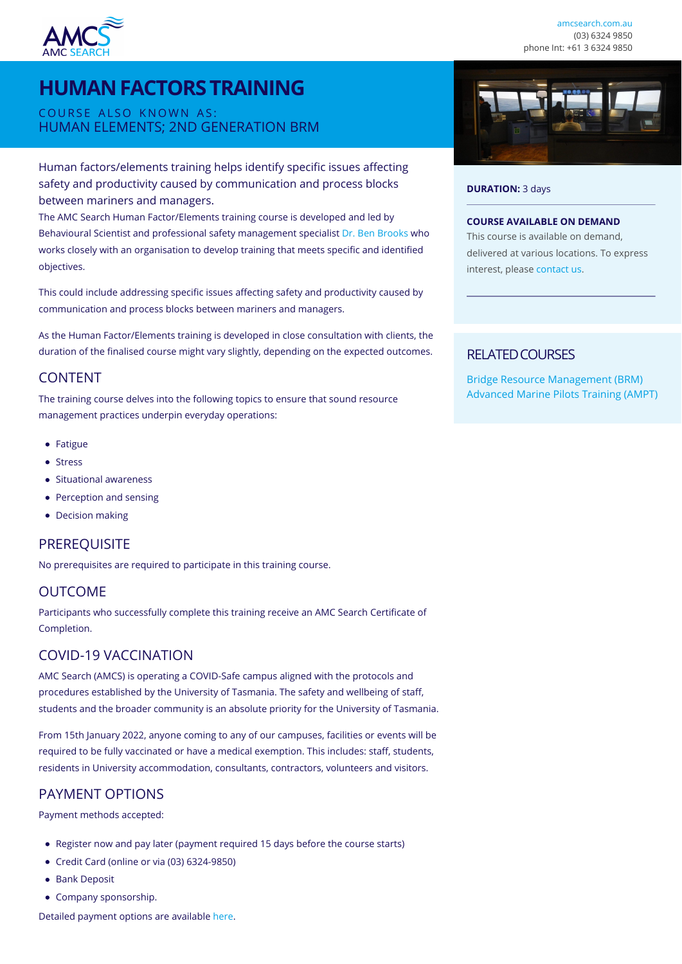

# **HUMAN FACTORS TRAINING**

COURSE ALSO KNOWN AS: HUMAN ELEMENTS; 2ND GENERATION BRM

### Human factors/elements training helps identify specific issues affecting safety and productivity caused by communication and process blocks between mariners and managers.

The AMC Search Human Factor/Elements training course is developed and led by Behavioural Scientist and professional safety management specialist [Dr. Ben Brooks](https://www.utas.edu.au/profiles/staff/amc/benjamin-brooks) who works closely with an organisation to develop training that meets specific and identified objectives.

This could include addressing specific issues affecting safety and productivity caused by communication and process blocks between mariners and managers.

As the Human Factor/Elements training is developed in close consultation with clients, the duration of the finalised course might vary slightly, depending on the expected outcomes.

### CONTENT

The training course delves into the following topics to ensure that sound resource management practices underpin everyday operations:

- Fatigue
- Stress
- Situational awareness
- Perception and sensing
- Decision making

### **PREREQUISITE**

No prerequisites are required to participate in this training course.

### OUTCOME

Participants who successfully complete this training receive an AMC Search Certificate of Completion.

### COVID-19 VACCINATION

AMC Search (AMCS) is operating a COVID-Safe campus aligned with the protocols and procedures established by the University of Tasmania. The safety and wellbeing of staff, students and the broader community is an absolute priority for the University of Tasmania.

From 15th January 2022, anyone coming to any of our campuses, facilities or events will be required to be fully vaccinated or have a medical exemption. This includes: staff, students, residents in University accommodation, consultants, contractors, volunteers and visitors.

## PAYMENT OPTIONS

Payment methods accepted:

- Register now and pay later (payment required 15 days before the course starts)
- Credit Card (online or via (03) 6324-9850)
- **Bank Deposit**
- Company sponsorship.

Detailed payment options are available [here.](https://www.amcsearch.com.au/payment-options)



#### **DURATION:** 3 days

#### **COURSE AVAILABLE ON DEMAND**

This course is available on demand, delivered at various locations. To express interest, please [contact us.](https://www.amcsearch.com.au/contact?subject=Human+Factors+Training+Enquiry)

### RELATED COURSES

[Bridge Resource Management \(BRM\)](https://www.amcsearch.com.au/course/bridge-resource-management) [Advanced Marine Pilots Training \(AMPT\)](https://www.amcsearch.com.au/course/advanced-marine-pilots-training-ampt)